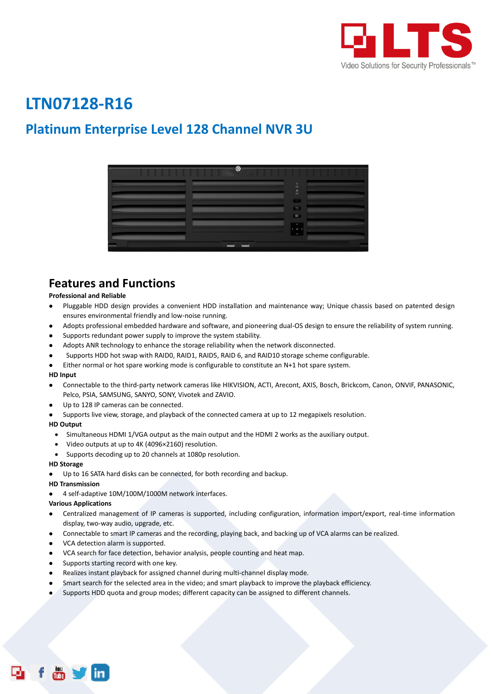

# **LTN07128-R16**

# **Platinum Enterprise Level 128 Channel NVR 3U**

| $\bullet$ |                                  |
|-----------|----------------------------------|
|           | $\Box$<br>$\mathbf{m}$           |
|           | $\frac{\Delta}{m}$               |
|           | $\bullet$                        |
|           | $\Box$<br>$\sim$                 |
|           | $\epsilon$<br>$\rightarrow$<br>ć |
| - -       |                                  |

### **Features and Functions**

#### **Professional and Reliable**

- Pluggable HDD design provides a convenient HDD installation and maintenance way; Unique chassis based on patented design ensures environmental friendly and low-noise running.
- Adopts professional embedded hardware and software, and pioneering dual-OS design to ensure the reliability of system running.
- Supports redundant power supply to improve the system stability.
- Adopts ANR technology to enhance the storage reliability when the network disconnected.
- Supports HDD hot swap with RAID0, RAID1, RAID5, RAID 6, and RAID10 storage scheme configurable.
- Either normal or hot spare working mode is configurable to constitute an N+1 hot spare system.

#### **HD Input**

- Connectable to the third-party network cameras like HIKVISION, ACTI, Arecont, AXIS, Bosch, Brickcom, Canon, ONVIF, PANASONIC, Pelco, PSIA, SAMSUNG, SANYO, SONY, Vivotek and ZAVIO.
- Up to 128 IP cameras can be connected.
- Supports live view, storage, and playback of the connected camera at up to 12 megapixels resolution.

#### **HD Output**

- Simultaneous HDMI 1/VGA output as the main output and the HDMI 2 works as the auxiliary output.
- Video outputs at up to 4K (4096×2160) resolution.
- Supports decoding up to 20 channels at 1080p resolution.

#### **HD Storage**

Up to 16 SATA hard disks can be connected, for both recording and backup.

#### **HD Transmission**

4 self-adaptive 10M/100M/1000M network interfaces.

#### **Various Applications**

- Centralized management of IP cameras is supported, including configuration, information import/export, real-time information display, two-way audio, upgrade, etc.
- Connectable to smart IP cameras and the recording, playing back, and backing up of VCA alarms can be realized.
- VCA detection alarm is supported.
- VCA search for face detection, behavior analysis, people counting and heat map.
- Supports starting record with one key.
- Realizes instant playback for assigned channel during multi-channel display mode.
- Smart search for the selected area in the video; and smart playback to improve the playback efficiency.
- Supports HDD quota and group modes; different capacity can be assigned to different channels.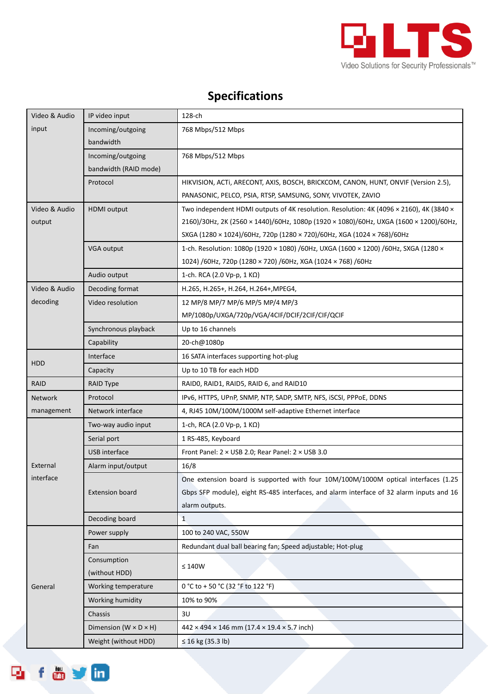

# **Specifications**

| Video & Audio                                                            | IP video input                             | 128-ch                                                                                                                                                                                                                                                     |  |  |
|--------------------------------------------------------------------------|--------------------------------------------|------------------------------------------------------------------------------------------------------------------------------------------------------------------------------------------------------------------------------------------------------------|--|--|
| input                                                                    | Incoming/outgoing<br>bandwidth             | 768 Mbps/512 Mbps                                                                                                                                                                                                                                          |  |  |
|                                                                          | Incoming/outgoing<br>bandwidth (RAID mode) | 768 Mbps/512 Mbps                                                                                                                                                                                                                                          |  |  |
|                                                                          | Protocol                                   | HIKVISION, ACTI, ARECONT, AXIS, BOSCH, BRICKCOM, CANON, HUNT, ONVIF (Version 2.5),<br>PANASONIC, PELCO, PSIA, RTSP, SAMSUNG, SONY, VIVOTEK, ZAVIO                                                                                                          |  |  |
| Video & Audio<br>output                                                  | <b>HDMI</b> output                         | Two independent HDMI outputs of 4K resolution. Resolution: 4K (4096 × 2160), 4K (3840 ×<br>2160)/30Hz, 2K (2560 × 1440)/60Hz, 1080p (1920 × 1080)/60Hz, UXGA (1600 × 1200)/60Hz,<br>SXGA (1280 × 1024)/60Hz, 720p (1280 × 720)/60Hz, XGA (1024 × 768)/60Hz |  |  |
|                                                                          | VGA output                                 | 1-ch. Resolution: 1080p (1920 × 1080) /60Hz, UXGA (1600 × 1200) /60Hz, SXGA (1280 ×<br>1024) /60Hz, 720p (1280 × 720) /60Hz, XGA (1024 × 768) /60Hz                                                                                                        |  |  |
|                                                                          | Audio output                               | 1-ch. RCA (2.0 Vp-p, 1 KΩ)                                                                                                                                                                                                                                 |  |  |
| Video & Audio<br>Decoding format<br>H.265, H.265+, H.264, H.264+, MPEG4, |                                            |                                                                                                                                                                                                                                                            |  |  |
| decoding                                                                 | Video resolution                           | 12 MP/8 MP/7 MP/6 MP/5 MP/4 MP/3<br>MP/1080p/UXGA/720p/VGA/4CIF/DCIF/2CIF/CIF/QCIF                                                                                                                                                                         |  |  |
|                                                                          | Synchronous playback                       | Up to 16 channels                                                                                                                                                                                                                                          |  |  |
|                                                                          | Capability                                 | 20-ch@1080p                                                                                                                                                                                                                                                |  |  |
| <b>HDD</b>                                                               | Interface                                  | 16 SATA interfaces supporting hot-plug                                                                                                                                                                                                                     |  |  |
|                                                                          | Capacity                                   | Up to 10 TB for each HDD                                                                                                                                                                                                                                   |  |  |
| RAID                                                                     | <b>RAID Type</b>                           | RAIDO, RAID1, RAID5, RAID 6, and RAID10                                                                                                                                                                                                                    |  |  |
| <b>Network</b>                                                           | Protocol                                   | IPv6, HTTPS, UPnP, SNMP, NTP, SADP, SMTP, NFS, iSCSI, PPPoE, DDNS                                                                                                                                                                                          |  |  |
| management                                                               | Network interface                          | 4, RJ45 10M/100M/1000M self-adaptive Ethernet interface                                                                                                                                                                                                    |  |  |
|                                                                          | Two-way audio input                        | 1-ch, RCA (2.0 Vp-p, 1 KΩ)                                                                                                                                                                                                                                 |  |  |
|                                                                          | Serial port                                | 1 RS-485, Keyboard                                                                                                                                                                                                                                         |  |  |
|                                                                          | USB interface                              | Front Panel: 2 × USB 2.0; Rear Panel: 2 × USB 3.0                                                                                                                                                                                                          |  |  |
| External                                                                 | Alarm input/output                         | 16/8                                                                                                                                                                                                                                                       |  |  |
| interface                                                                | <b>Extension board</b>                     | One extension board is supported with four 10M/100M/1000M optical interfaces (1.25<br>Gbps SFP module), eight RS-485 interfaces, and alarm interface of 32 alarm inputs and 16<br>alarm outputs.                                                           |  |  |
|                                                                          | Decoding board                             | $\mathbf{1}$                                                                                                                                                                                                                                               |  |  |
|                                                                          | Power supply                               | 100 to 240 VAC, 550W                                                                                                                                                                                                                                       |  |  |
|                                                                          | Fan                                        | Redundant dual ball bearing fan; Speed adjustable; Hot-plug                                                                                                                                                                                                |  |  |
| General                                                                  | Consumption<br>(without HDD)               | $\leq 140 \text{W}$                                                                                                                                                                                                                                        |  |  |
|                                                                          | Working temperature                        | 0 °C to + 50 °C (32 °F to 122 °F)                                                                                                                                                                                                                          |  |  |
|                                                                          | Working humidity                           | 10% to 90%                                                                                                                                                                                                                                                 |  |  |
|                                                                          | Chassis                                    | 3U                                                                                                                                                                                                                                                         |  |  |
|                                                                          | Dimension ( $W \times D \times H$ )        | $442 \times 494 \times 146$ mm (17.4 $\times$ 19.4 $\times$ 5.7 inch)                                                                                                                                                                                      |  |  |
|                                                                          | Weight (without HDD)                       | ≤ 16 kg (35.3 lb)                                                                                                                                                                                                                                          |  |  |

f & y in

وبا